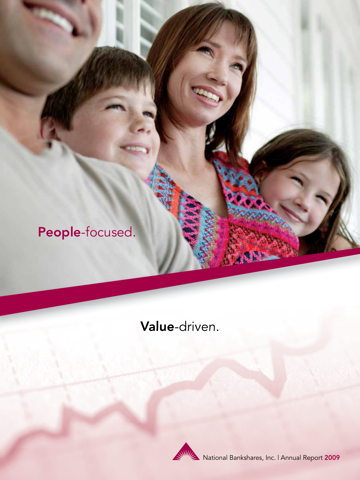# People-focused.

# Value-driven.



National Bankshares, Inc. | Annual Report 2009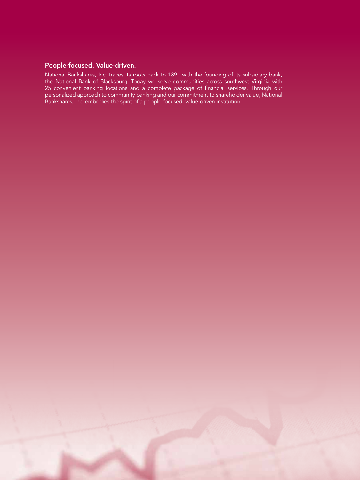#### People-focused. Value-driven.

National Bankshares, Inc. traces its roots back to 1891 with the founding of its subsidiary bank, the National Bank of Blacksburg. Today we serve communities across southwest Virginia with 25 convenient banking locations and a complete package of financial services. Through our personalized approach to community banking and our commitment to shareholder value, National Bankshares, Inc. embodies the spirit of a people-focused, value-driven institution.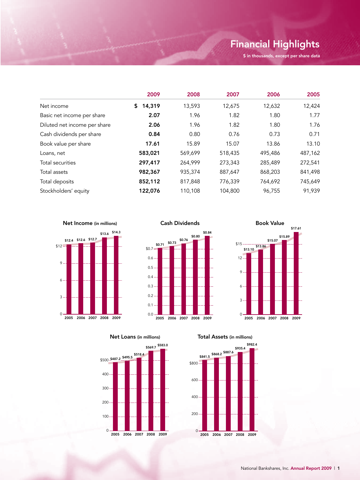## Financial Highlights

\$ in thousands, except per share data

|                              | 2009         | 2008    | 2007    | 2006    | 2005    |
|------------------------------|--------------|---------|---------|---------|---------|
| Net income                   | 14,319<br>\$ | 13,593  | 12,675  | 12,632  | 12,424  |
| Basic net income per share   | 2.07         | 1.96    | 1.82    | 1.80    | 1.77    |
| Diluted net income per share | 2.06         | 1.96    | 1.82    | 1.80    | 1.76    |
| Cash dividends per share     | 0.84         | 0.80    | 0.76    | 0.73    | 0.71    |
| Book value per share         | 17.61        | 15.89   | 15.07   | 13.86   | 13.10   |
| Loans, net                   | 583,021      | 569,699 | 518,435 | 495,486 | 487,162 |
| Total securities             | 297,417      | 264,999 | 273,343 | 285,489 | 272,541 |
| Total assets                 | 982,367      | 935,374 | 887,647 | 868,203 | 841,498 |
| Total deposits               | 852,112      | 817,848 | 776,339 | 764,692 | 745,649 |
| Stockholders' equity         | 122,076      | 110,108 | 104,800 | 96,755  | 91,939  |









Net Loans (in millions)





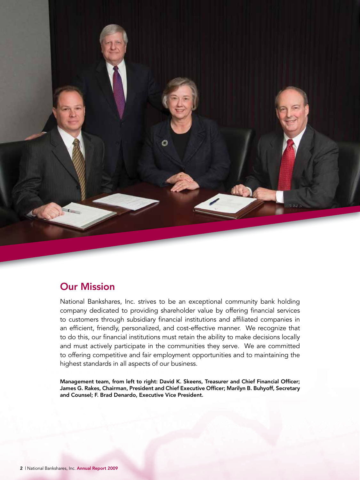

### Our Mission

national Banksnares, inc. strives to be an exceptional community bank nolding<br>company dedicated to providing shareholder value by offering financial services If the plant among the continuity measurem and cost-effective manner. We recognize that to do this, our infuriour institutions must return the domey to make decisions roamy<br>and must actively participate in the communities they serve. We are committed to offering competitive and fair employment opportunities and to maintaining the ditis arum exero et reiume enisi te essiti int et qui offi cia National Bankshares, Inc. strives to be an exceptional community bank holding to customers through subsidiary financial institutions and affiliated companies in to do this, our financial institutions must retain the ability to make decisions locally highest standards in all aspects of our business.

management team, nom iert to right. David K. Skeens, freasurer and Chief Financial Officer,<br>James G. Rakes, Chairman, President and Chief Executive Officer; Marilyn B. Buhyoff, Secretary Management team, from left to right: David K. Skeens, Treasurer and Chief Financial Officer; and Counsel; F. Brad Denardo, Executive Vice President.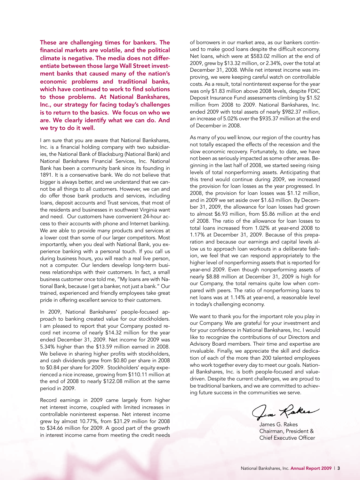These are challenging times for bankers. The financial markets are volatile, and the political climate is negative. The media does not differentiate between those large Wall Street investment banks that caused many of the nation's economic problems and traditional banks, which have continued to work to find solutions to those problems. At National Bankshares, Inc., our strategy for facing today's challenges is to return to the basics. We focus on who we are. We clearly identify what we can do. And we try to do it well.

I am sure that you are aware that National Bankshares, Inc. is a financial holding company with two subsidiaries, the National Bank of Blacksburg (National Bank) and National Bankshares Financial Services, Inc. National Bank has been a community bank since its founding in 1891. It is a conservative bank. We do not believe that bigger is always better, and we understand that we cannot be all things to all customers. However, we can and do offer those bank products and services, including loans, deposit accounts and Trust services, that most of the residents and businesses in southwest Virginia want and need. Our customers have convenient 24-hour access to their accounts with phone and Internet banking. We are able to provide many products and services at a lower cost than some of our larger competitors. Most importantly, when you deal with National Bank, you experience banking with a personal touch. If you call us during business hours, you will reach a real live person, not a computer. Our lenders develop long-term business relationships with their customers. In fact, a small business customer once told me, "My loans are with National Bank, because I get a banker, not just a bank." Our trained, experienced and friendly employees take great pride in offering excellent service to their customers.

In 2009, National Bankshares' people-focused approach to banking created value for our stockholders. I am pleased to report that your Company posted record net income of nearly \$14.32 million for the year ended December 31, 2009. Net income for 2009 was 5.34% higher than the \$13.59 million earned in 2008. We believe in sharing higher profits with stockholders, and cash dividends grew from \$0.80 per share in 2008 to \$0.84 per share for 2009. Stockholders' equity experienced a nice increase, growing from \$110.11 million at the end of 2008 to nearly \$122.08 million at the same period in 2009.

Record earnings in 2009 came largely from higher net interest income, coupled with limited increases in controllable noninterest expense. Net interest income grew by almost 10.77%, from \$31.29 million for 2008 to \$34.66 million for 2009. A good part of the growth in interest income came from meeting the credit needs

of borrowers in our market area, as our bankers continued to make good loans despite the difficult economy. Net loans, which were at \$583.02 million at the end of 2009, grew by \$13.32 million, or 2.34%, over the total at December 31, 2008. While net interest income was improving, we were keeping careful watch on controllable costs. As a result, total nontinterest expense for the year was only \$1.83 million above 2008 levels, despite FDIC Deposit Insurance Fund assessments climbing by \$1.52 million from 2008 to 2009. National Bankshares, Inc. ended 2009 with total assets of nearly \$982.37 million, an increase of 5.02% over the \$935.37 million at the end of December in 2008.

As many of you well know, our region of the country has not totally escaped the effects of the recession and the slow economic recovery. Fortunately, to date, we have not been as seriously impacted as some other areas. Beginning in the last half of 2008, we started seeing rising levels of total nonperforming assets. Anticipating that this trend would continue during 2009, we increased the provision for loan losses as the year progressed. In 2008, the provision for loan losses was \$1.12 million, and in 2009 we set aside over \$1.63 million. By December 31, 2009, the allowance for loan losses had grown to almost \$6.93 million, from \$5.86 million at the end of 2008. The ratio of the allowance for loan losses to total loans increased from 1.02% at year-end 2008 to 1.17% at December 31, 2009. Because of this preparation and because our earnings and capital levels allow us to approach loan workouts in a deliberate fashion, we feel that we can respond appropriately to the higher level of nonperforming assets that is reported for year-end 2009. Even though nonperforming assets of nearly \$8.88 million at December 31, 2009 is high for our Company, the total remains quite low when compared with peers. The ratio of nonperforming loans to net loans was at 1.14% at year-end, a reasonable level in today's challenging economy.

We want to thank you for the important role you play in our Company. We are grateful for your investment and for your confidence in National Bankshares, Inc. I would like to recognize the contributions of our Directors and Advisory Board members. Their time and expertise are invaluable. Finally, we appreciate the skill and dedication of each of the more than 200 talented employees who work together every day to meet our goals. National Bankshares, Inc. is both people-focused and valuedriven. Despite the current challenges, we are proud to be traditional bankers, and we are committed to achieving future success in the communities we serve.

Jim Rakes

James G. Rakes Chairman, President & Chief Executive Officer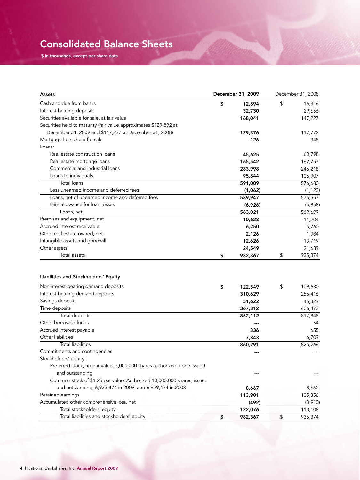### Consolidated Balance Sheets

\$ in thousands, except per share data

| <b>Assets</b>                                                           |    | December 31, 2009 |    | December 31, 2008 |  |
|-------------------------------------------------------------------------|----|-------------------|----|-------------------|--|
| Cash and due from banks                                                 | \$ | 12,894            | \$ | 16,316            |  |
| Interest-bearing deposits                                               |    | 32,730            |    | 29,656            |  |
| Securities available for sale, at fair value                            |    | 168,041           |    | 147,227           |  |
| Securities held to maturity (fair value approximates \$129,892 at       |    |                   |    |                   |  |
| December 31, 2009 and \$117,277 at December 31, 2008)                   |    | 129,376           |    | 117,772           |  |
| Mortgage loans held for sale                                            |    | 126               |    | 348               |  |
| Loans:                                                                  |    |                   |    |                   |  |
| Real estate construction loans                                          |    | 45,625            |    | 60,798            |  |
| Real estate mortgage loans                                              |    | 165,542           |    | 162,757           |  |
| Commercial and industrial loans                                         |    | 283,998           |    | 246,218           |  |
| Loans to individuals                                                    |    | 95,844            |    | 106,907           |  |
| Total loans                                                             |    | 591,009           |    | 576,680           |  |
| Less unearned income and deferred fees                                  |    | (1,062)           |    | (1, 123)          |  |
| Loans, net of unearned income and deferred fees                         |    | 589,947           |    | 575,557           |  |
| Less allowance for loan losses                                          |    | (6,926)           |    | (5,858)           |  |
| Loans, net                                                              |    | 583,021           |    | 569,699           |  |
| Premises and equipment, net                                             |    | 10,628            |    | 11,204            |  |
| Accrued interest receivable                                             |    | 6,250             |    | 5,760             |  |
| Other real estate owned, net                                            |    | 2,126             |    | 1,984             |  |
| Intangible assets and goodwill                                          |    | 12,626            |    | 13,719            |  |
| Other assets                                                            |    | 24,549            |    | 21,689            |  |
| Total assets                                                            | \$ | 982,367           | \$ | 935,374           |  |
| Liabilities and Stockholders' Equity                                    |    |                   |    |                   |  |
| Noninterest-bearing demand deposits                                     | \$ | 122,549           | \$ | 109,630           |  |
| Interest-bearing demand deposits                                        |    | 310,629           |    | 256,416           |  |
| Savings deposits                                                        |    | 51,622            |    | 45,329            |  |
| Time deposits                                                           |    | 367,312           |    | 406,473           |  |
| Total deposits                                                          |    | 852,112           |    | 817,848           |  |
| Other borrowed funds                                                    |    |                   |    | 54                |  |
| Accrued interest payable                                                |    | 336               |    | 655               |  |
| Other liabilities                                                       |    | 7,843             |    | 6,709             |  |
| <b>Total liabilities</b>                                                |    | 860,291           |    | 825,266           |  |
| Commitments and contingencies                                           |    |                   |    |                   |  |
| Stockholders' equity:                                                   |    |                   |    |                   |  |
| Preferred stock, no par value, 5,000,000 shares authorized; none issued |    |                   |    |                   |  |
| and outstanding                                                         |    |                   |    |                   |  |
| Common stock of \$1.25 par value. Authorized 10,000,000 shares; issued  |    |                   |    |                   |  |
| and outstanding, 6,933,474 in 2009, and 6,929,474 in 2008               |    | 8,667             |    | 8,662             |  |
| Retained earnings                                                       |    | 113,901           |    | 105,356           |  |
| Accumulated other comprehensive loss, net                               |    | (492)             |    | (3,910)           |  |
| Total stockholders' equity                                              |    | 122,076           |    | 110,108           |  |
| Total liabilities and stockholders' equity                              | \$ | 982,367           | \$ | 935,374           |  |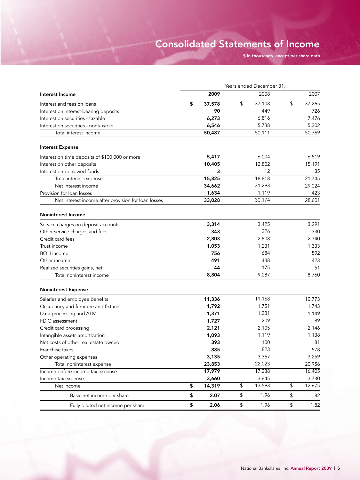## Consolidated Statements of Income

\$ in thousands, except per share data

|                                                     | Years ended December 31, |        |    |        |    |        |
|-----------------------------------------------------|--------------------------|--------|----|--------|----|--------|
| Interest Income                                     |                          | 2009   |    | 2008   |    | 2007   |
| Interest and fees on loans                          | \$                       | 37,578 | \$ | 37,108 | \$ | 37,265 |
| Interest on interest-bearing deposits               |                          | 90     |    | 449    |    | 726    |
| Interest on securities - taxable                    |                          | 6,273  |    | 6,816  |    | 7,476  |
| Interest on securities - nontaxable                 |                          | 6,546  |    | 5,738  |    | 5,302  |
| Total interest income                               |                          | 50,487 |    | 50,111 |    | 50,769 |
| <b>Interest Expense</b>                             |                          |        |    |        |    |        |
| Interest on time deposits of \$100,000 or more      |                          | 5,417  |    | 6,004  |    | 6,519  |
| Interest on other deposits                          |                          | 10,405 |    | 12,802 |    | 15,191 |
| Interest on borrowed funds                          |                          | 3      |    | 12     |    | 35     |
| Total interest expense                              |                          | 15,825 |    | 18,818 |    | 21,745 |
| Net interest income                                 |                          | 34,662 |    | 31,293 |    | 29,024 |
| Provision for loan losses                           |                          | 1,634  |    | 1,119  |    | 423    |
| Net interest income after provision for loan losses |                          | 33,028 |    | 30,174 |    | 28,601 |
| <b>Noninterest Income</b>                           |                          |        |    |        |    |        |
| Service charges on deposit accounts                 |                          | 3,314  |    | 3,425  |    | 3,291  |
| Other service charges and fees                      |                          | 343    |    | 326    |    | 330    |
| Credit card fees                                    |                          | 2,803  |    | 2,808  |    | 2,740  |
| Trust income                                        |                          | 1,053  |    | 1,231  |    | 1,333  |
| <b>BOLI</b> income                                  |                          | 756    |    | 684    |    | 592    |
| Other income                                        |                          | 491    |    | 438    |    | 423    |
| Realized securities gains, net                      |                          | 44     |    | 175    |    | 51     |
| Total noninterest income                            |                          | 8,804  |    | 9,087  |    | 8,760  |
| <b>Noninterest Expense</b>                          |                          |        |    |        |    |        |
| Salaries and employee benefits                      |                          | 11,336 |    | 11,168 |    | 10,773 |
| Occupancy and furniture and fixtures                |                          | 1,792  |    | 1,751  |    | 1,743  |
| Data processing and ATM                             |                          | 1,371  |    | 1,381  |    | 1,149  |
| FDIC assessment                                     |                          | 1,727  |    | 209    |    | 89     |
| Credit card processing                              |                          | 2,121  |    | 2,105  |    | 2,146  |
| Intangible assets amortization                      |                          | 1,093  |    | 1,119  |    | 1,138  |
| Net costs of other real estate owned                |                          | 393    |    | 100    |    | 81     |
| Franchise taxes                                     |                          | 885    |    | 823    |    | 578    |
| Other operating expenses                            |                          | 3,135  |    | 3,367  |    | 3,259  |
| Total noninterest expense                           |                          | 23,853 |    | 22,023 |    | 20,956 |
| Income before income tax expense                    |                          | 17,979 |    | 17,238 |    | 16,405 |
| Income tax expense                                  |                          | 3,660  |    | 3,645  |    | 3,730  |
| Net income                                          | \$                       | 14,319 | \$ | 13,593 | \$ | 12,675 |
| Basic net income per share                          | \$                       | 2.07   | \$ | 1.96   | \$ | 1.82   |
| Fully diluted net income per share                  | \$                       | 2.06   | \$ | 1.96   | \$ | 1.82   |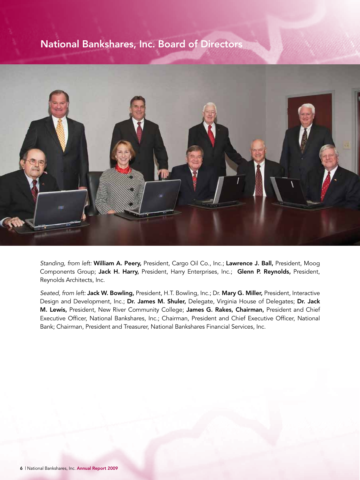### National Bankshares, Inc. Board of Directors



*Standing, from left:* William A. Peery, President, Cargo Oil Co., Inc.; Lawrence J. Ball, President, Moog Components Group; Jack H. Harry, President, Harry Enterprises, Inc.; Glenn P. Reynolds, President, Reynolds Architects, Inc.

*Seated, from left:* Jack W. Bowling, President, H.T. Bowling, Inc.; Dr. Mary G. Miller, President, Interactive Design and Development, Inc.; Dr. James M. Shuler, Delegate, Virginia House of Delegates; Dr. Jack M. Lewis, President, New River Community College; James G. Rakes, Chairman, President and Chief Executive Officer, National Bankshares, Inc.; Chairman, President and Chief Executive Officer, National Bank; Chairman, President and Treasurer, National Bankshares Financial Services, Inc.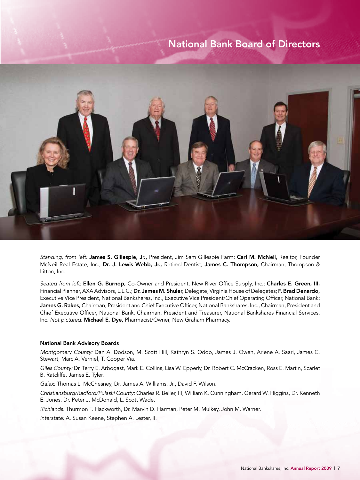### National Bank Board of Directors



*Standing, from left:* James S. Gillespie, Jr., President, Jim Sam Gillespie Farm; Carl M. McNeil, Realtor, Founder McNeil Real Estate, Inc.; Dr. J. Lewis Webb, Jr., Retired Dentist; James C. Thompson, Chairman, Thompson & Litton, Inc.

Seated from left: Ellen G. Burnop, Co-Owner and President, New River Office Supply, Inc.; Charles E. Green, III, Financial Planner, AXA Advisors, L.L.C.; Dr. James M. Shuler, Delegate, Virginia House of Delegates; F. Brad Denardo, Executive Vice President, National Bankshares, Inc., Executive Vice President/Chief Operating Officer, National Bank; James G. Rakes, Chairman, President and Chief Executive Officer, National Bankshares, Inc., Chairman, President and Chief Executive Officer, National Bank, Chairman, President and Treasurer, National Bankshares Financial Services, Inc. *Not pictured:* Michael E. Dye, Pharmacist/Owner, New Graham Pharmacy.

#### National Bank Advisory Boards

*Montgomery County:* Dan A. Dodson, M. Scott Hill, Kathryn S. Oddo, James J. Owen, Arlene A. Saari, James C. Stewart, Marc A. Verniel, T. Cooper Via.

*Giles County:* Dr. Terry E. Arbogast, Mark E. Collins, Lisa W. Epperly, Dr. Robert C. McCracken, Ross E. Martin, Scarlet B. Ratcliffe, James E. Tyler.

*Galax:* Thomas L. McChesney, Dr. James A. Williams, Jr., David F. Wilson.

*Christiansburg/Radford/Pulaski County:* Charles R. Beller, III, William K. Cunningham, Gerard W. Higgins, Dr. Kenneth E. Jones, Dr. Peter J. McDonald, L. Scott Wade.

*Richlands:* Thurmon T. Hackworth, Dr. Marvin D. Harman, Peter M. Mulkey, John M. Warner.

*Interstate:* A. Susan Keene, Stephen A. Lester, II.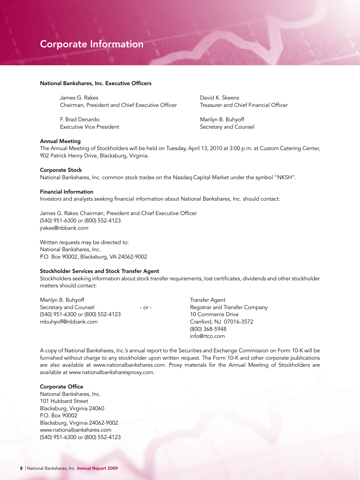### Corporate Information

#### National Bankshares, Inc. Executive Officers

James G. Rakes **David K. Skeens** Chairman, President and Chief Executive Officer Treasurer and Chief Financial Officer

F. Brad Denardo **Marilyn B. Buhyoff** Executive Vice President Secretary and Counsel

#### Annual Meeting

The Annual Meeting of Stockholders will be held on Tuesday, April 13, 2010 at 3:00 p.m. at Custom Catering Center, 902 Patrick Henry Drive, Blacksburg, Virginia.

#### Corporate Stock

National Bankshares, Inc. common stock trades on the Nasdaq Capital Market under the symbol "NKSH".

#### Financial Information

Investors and analysts seeking financial information about National Bankshares, Inc. should contact:

James G. Rakes Chairman, President and Chief Executive Officer (540) 951-6300 or (800) 552-4123 jrakes@nbbank.com

Written requests may be directed to: National Bankshares, Inc. P.O. Box 90002, Blacksburg, VA 24062-9002

#### Stockholder Services and Stock Transfer Agent

Stockholders seeking information about stock transfer requirements, lost certificates, dividends and other stockholder matters should contact:

Marilyn B. Buhyoff Transfer Agent Secretary and Counsel **Figure 2** or - **Company** - or - **Registrar and Transfer Company** (540) 951-6300 or (800) 552-4123 10 Commerce Drive mbuhyoff@nbbank.com Cranford, NJ 07016-3572

 (800) 368-5948 info@rtco.com

A copy of National Bankshares, Inc.'s annual report to the Securities and Exchange Commission on Form 10-K will be furnished without charge to any stockholder upon written request. The Form 10-K and other corporate publications are also available at www.nationalbankshares.com. Proxy materials for the Annual Meeting of Stockholders are available at www.nationalbanksharesproxy.com.

#### Corporate Office

National Bankshares, Inc. 101 Hubbard Street Blacksburg, Virginia 24060 P.O. Box 90002 Blacksburg, Virginia 24062-9002 www.nationalbankshares.com (540) 951-6300 or (800) 552-4123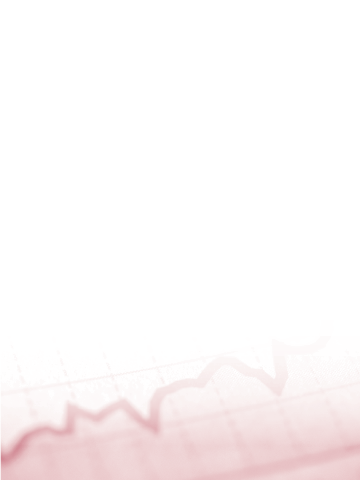